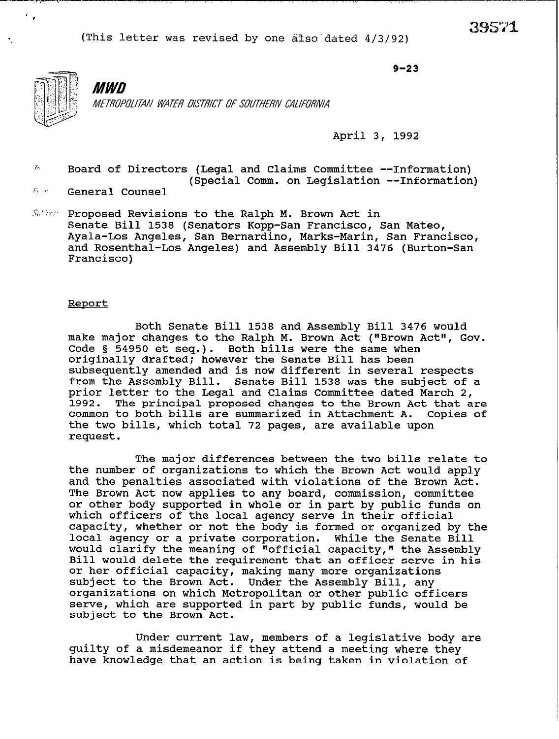

# **MWD**

*MTROPOM4N WATER DISTRIU OF SOUTHRN CAIIFORNIA* 

April 3, 1992

 $9 - 23$ 

- $\overline{I}n$ Board of Directors (Legal and Claims Committee --Information) (Special Comm. on Legislation --Information)
- $F_1 \cup \gamma_1$ General Counsel
- $St$  Proposed Revisions to the Ralph M. Brown Act in Senate Bill 1538 (Senators Kopp-San Francisco, San Mateo, Ayala-Los Angeles, San Bernardino, Marks-Marin, San Francisco, and Rosenthal-Los Angeles) and Assembly Bill 3476 (Burton-San Francisco)

#### Report

Both Senate Bill 1538 and Assembly Bill 3476 would make major changes to the Ralph M. Brown Act ("Brown Act", Gov. Code 5 54950 et seq.). Both bills were the same when originally drafted; however the Senate Bill has been subsequently amended and is now different in several respects from the Assembly Bill. Senate Bill 1538 was the subject of a prior letter to the Legal and Claims Committee dated March 2,<br>1992. The principal proposed changes to the Brown Act that a The principal proposed changes to the Brown Act that are common to both bills are summarized in Attachment A. Copies of the two bills, which total 72 pages, are available upon request.

The major differences between the two bills relate to the number of organizations to which the Brown Act would apply and the penalties associated with violations of the Brown Act. The Brown Act now applies to any board, commission, committee or other body supported in whole or in part by public funds on which officers of the local agency serve in their official capacity, whether or not the body is formed or organized by the local agency or a private corporation. While the Senate Bill would clarify the meaning of "official capacity," the Assembly Bill would delete the requirement that an officer serve in his or her official capacity, making many more organizations subject to the Brown Act. Under the Assembly Bill, any organizations on which Metropolitan or other public officers serve, which are supported in part by public funds, would be subject to the Brown Act.

Under current law, members of a legislative body are guilty of a misdemeanor if they attend a meeting where they have knowledge that an action is being taken in violation of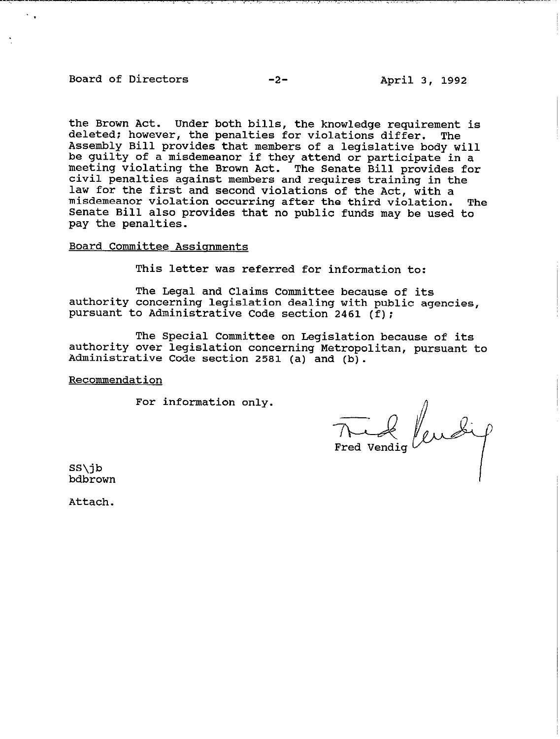# Board of Directors -2-<br>
-2-<br>
April 3, 1992

the Brown Act. Under both bills, the knowledge requirement is deleted: however, the penalties for violations differ. The Assembly Bill provides that members of a legislative body will be guilty of a misdemeanor if they attend or participate in a meeting violating the Brown Act. The Senate Bill provides for civil penalties against members and requires training in the law for the first and second violations of the Act, with a misdemeanor violation occurring after the third violation. The Senate Bill also provides that no public funds may be used to pay the penalties.

### Board Committee Assianments

This letter was referred for information to:

The Legal and Claims Committee because of its authority concerning legislation dealing with public agencies, pursuant to Administrative Code section 2461 (f);

The Special Committee on Legislation because of its authority over legislation concerning Metropolitan, pursuant to Administrative Code section 2581 (a) and (b).

#### Recommendation

For information only.

The of lubig

SS\jb bdbrown

Attach.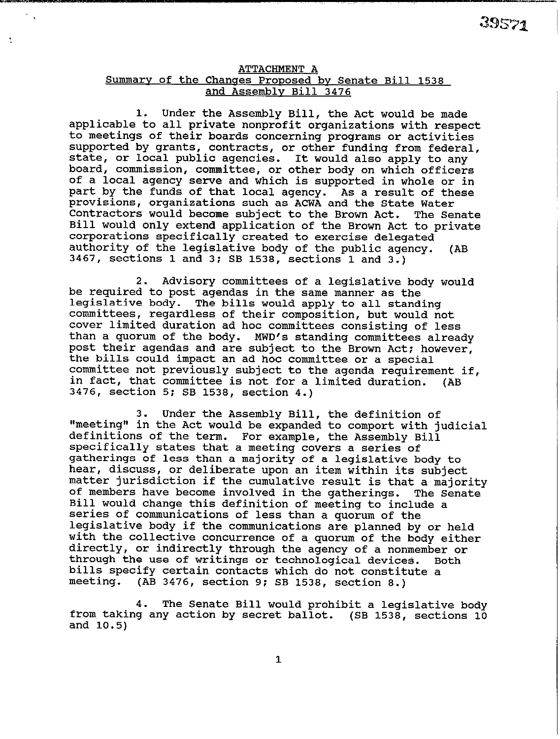## **ATTACHMENT A**

 $\frac{1}{2}$ 

÷

# **Summarv of the Chances PrODOSed bv Senate Bill 1538 and Assembly Bill 3476**

**1. Under the Assembly Bill, the Act would be made applicable to all private nonprofit organizations with respect to meetings of their boards concerning programs or activities supported by grants, contracts, or other funding from federal, or local public agencies. state, It would also apply to any board, commission, committee, or other body on which officers of a local agency serve and which is supported in whole or in part by the funds of that local agency. As a result of these provisions, organizations such as ACWA and the State Water Contractors would become subject to the Brown Act. The Senate Bill would only extend application of the Brown Act to private corporations specifically created to exercise delegated authority of the legislative body of the public agency. (AB 3467, sections 1 and 3; SB 1538, sections 1 and 3.)** 

**2. Advisory committees of a legislative body would be required to post agendas in the same manner as the legislative body. The bills would apply to all standing committees, regardless of their composition, but would not cover limited duration ad hoc committees consisting of less than a quorum of the body. MWD's standing committees already post their agendas and are subject to the Brown Act: however, the bills could impact an ad hoc committee or a special committee not previously subject to the agenda requirement if, in fact, that committee is not for a limited duration. 3476, section 5; SB 1538, section 4.) (AS** 

**3. Under the Assembly Bill, the definition of "meeting" in the Act would be expanded to comport with judicial definitions of the term. For example, the Assembly Bill specifically states that a meeting covers a series of gatherings of less than a majority of a legislative body to hear, discuss, or deliberate upon an item within its subject matter jurisdiction if the cumulative result is that a majority**  of members have become involved in the gatherings. **Bill would change this definition of meeting to include a series of communications of less than a quorum of the legislative body if the communications are planned by or held with the collective concurrence of a quorum of the body either directly, or indirectly through the agency of a nonmember or**  through the use of writings or technological devices. **bills specify certain contacts which do not constitute a meeting. (AB 3476, section 9; SB 1538, section 8.)** 

**4. The Senate Bill would prohibit a legislative body from taking any action by secret ballot. (SB 1538, sections 10 and 10.5)**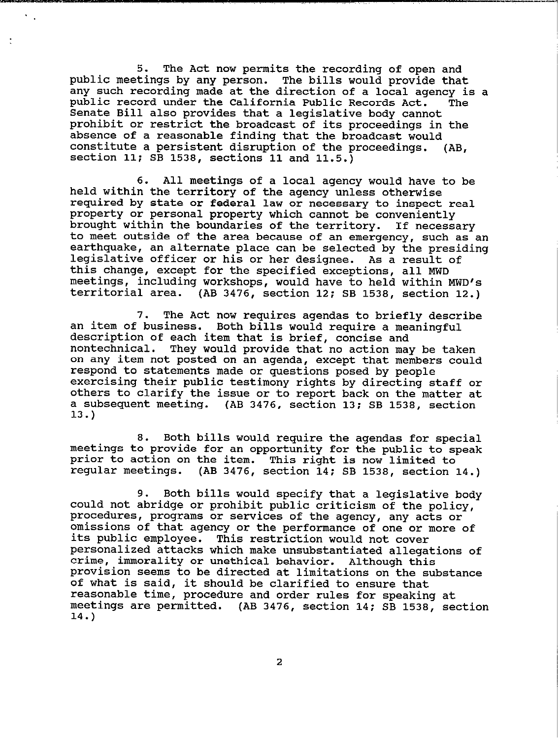**5. The Act now permits the recording of open and**  public meetings by any person. **any such recording made at the direction of a local agency is a public record under the California Public Records Act. The Senate Bill also provides that a legislative body cannot prohibit or restrict the broadcast of its proceedings in the absence of a reasonable finding that the broadcast would constitute a persistent disruption of the proceedings. section 11; SB 1538, sections 11 and 11.5.) (AB,** 

. .

**6. All meetings of a local agency would have to be held within the territory of the agency unless otherwise required by state or federal law or necessary to inspect real property or personal property which cannot be conveniently brought within the boundaries of the territory. If necessary**  to meet outside of the area because of an emergency, such as an **earthquake, an alternate place can be selected by the presiding legislative officer or his or her designee. As a result of this change, except for the specified exceptions, all MWD meetings, including workshops, would have to held within MWD's territorial area. (AB 3476, section 12; SB 1538, section 12.)** 

**7. The Act now requires agendas to briefly describe an item of business. Both bills would require a meaningful description of each item that is brief, concise and nontechnical. They would provide that no action may be taken on any item not posted on an agenda, except that members could respond to statements made or questions posed by people exercising their public testimony rights by directing staff or others to clarify the issue or to report back on the matter at a subsequent meeting. (AB 3476, section 13; SB 1538, section 13.)** 

**8. Both bills would require the agendas for special meetings to provide for an opportunity for the public to speak prior to action on the item. This right is now limited to regular meetings. (AB 3476, section 14: SB 1538, section 14.)** 

**9. Both bills would specify that a legislative body could not abridge or prohibit public criticism of the policy, procedures, programs or services of the agency, any acts or omissions of that agency or the performance of one or more of its public employee. This restriction would not cover personalized attacks which make unsubstantiated allegations of crime, immorality or unethical behavior. Although this provision seems to be directed at limitations on the substance of what is said, it should be clarified to ensure that reasonable time, procedure and order rules for speaking at meetings are permitted. (AB 3476, section 14: SB 1538, section 14.)** 

**2**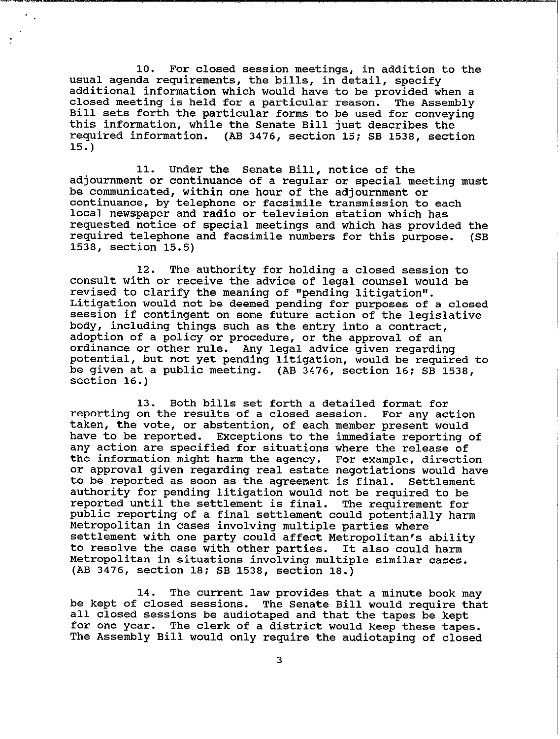**10. For closed session meetings, in addition to the usual agenda requirements, the bills, in detail, specify additional information which would have to be provided when a closed meeting is held for a particular reason. The Assembly Bill sets forth the particular forms to be used for conveying this information, while the Senate Bill just describes the required information. (AB 3476, section 15; SB 1538, section 15.)** 

**11. Under the Senate Bill, notice of the adjournment or continuance of a regular or special meeting must be communicated, within one hour of the adjournment or continuance, by telephone or facsimile transmission to each local newspaper and radio or television station which has requested notice of special meetings and which has provided the required telephone and facsimile numbers for this purpose. 1538, section 15.5) (SB** 

**12. The authority for holding a closed session to consult with or receive the advice of legal counsel would be**  revised to clarify the meaning of "pending litigation". **Litigation would not be deemed pending for purposes of a closed session if contingent on some future action of the legislative body, including things such as the entry into a contract, adoption of a policy or procedure, or the approval of an ordinance or other rule. Any legal advice given regarding potential, but not yet pending litigation, would be required to be given at a public meeting. (AB 3476, section 16: SB 1538, section 16.)** 

**13. Both bills set forth a detailed format for reporting on the results of a closed session. For any action taken, the vote, or abstention, of each member present would have to be reported. Exceptions to the immediate reporting of any action are specified for situations where the release of the information might harm the agency. For example, direction or approval given regarding real estate negotiations would have to be reported as soon as the agreement is final. Settlement authority for pending litigation would not be required to be**  reported until the settlement is final. **public reporting of a final settlement could potentially harm Metropolitan in cases involving multiple parties where settlement with one party could affect Metropolitan's ability to resolve the case with other parties. It also could harm Metropolitan in situations involving multiple similar cases. (AB 3476, section 18; SB 1538, section 18.)** 

**14. The current law provides that a minute book may be kept of closed sessions. The Senate Bill would require that all closed sessions be audiotaped and that the tapes be kept for one year. The clerk of a district would keep these tapes. The Assembly Bill would only require the audiotaping of closed**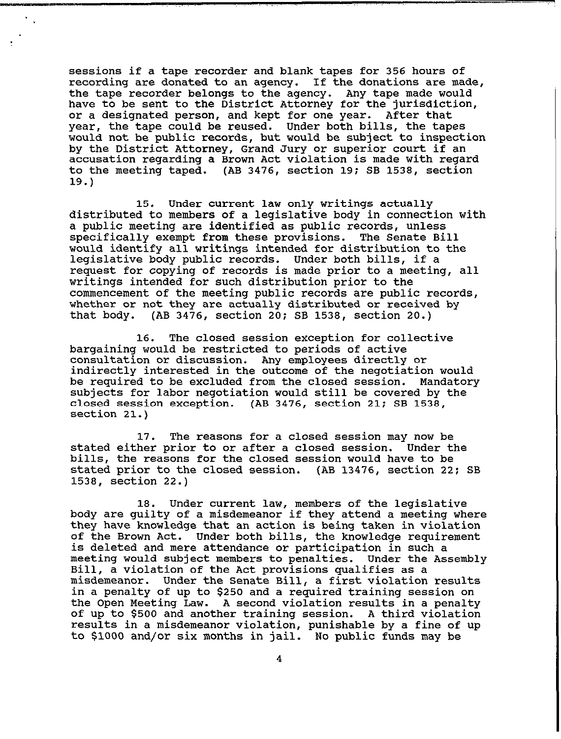sessions if a tape recorder and blank tapes for 356 hours of recording are donated to an agency. If the donations are made, the tape recorder belongs to the agency. Any tape made would have to be sent to the District Attorney for the jurisdiction, or a designated person, and kept for one year. After that year, the tape could be reused. Under both bills, the tapes would not be public records, but would be subject to inspection by the District Attorney, Grand Jury or superior court if an accusation regarding a Brown Act violation is made with regard to the meeting taped. (AB 3476, section 19; SB 1538, section 19.)

15. Under current law only writings actually distributed to members of a legislative body in connection with a public meeting are identified as public records, unless specifically exempt from these provisions. The Senate Bill would identify all writings intended for distribution to the legislative body public records. Under both bills, if a request for copying of records is made prior to a meeting, all writings intended for such distribution prior to the commencement of the meeting public records are public records, whether or not they are actually distributed or received by that body. (AB 3476, section 20; SB 1538, section 20.)

16. The closed session exception for collective bargaining would be restricted to periods of active consultation or discussion. Any employees directly or indirectly interested in the outcome of the negotiation would be required to be excluded from the closed session. Mandatory subjects for labor negotiation would still be covered by the closed session exception. (AB 3476, section 21; SB 1538, section 21.)

17. The reasons for a closed session may now be stated either prior to or after a closed session. bills, the reasons for the closed session would have to be stated prior to the closed session. (AB 13476, section 22; SB 1538, section 22.)

18. Under current law, members of the legislative body are guilty of a misdemeanor if they attend a meeting where they have knowledge that an action is being taken in violation of the Brown Act. Under both bills, the knowledge requirement is deleted and mere attendance or participation in such a meeting would subject members to penalties. Under the Assembly Bill, a violation of the Act provisions qualifies as a misdemeanor. Under the Senate Bill, a first violation results in a penalty of up to \$250 and a required training session on the Open Meeting Law. A second violation results in a penalty of up to \$500 and another training session. A third violation results in a misdemeanor violation, punishable by a fine of up to \$1000 and/or six months in jail. No public funds may be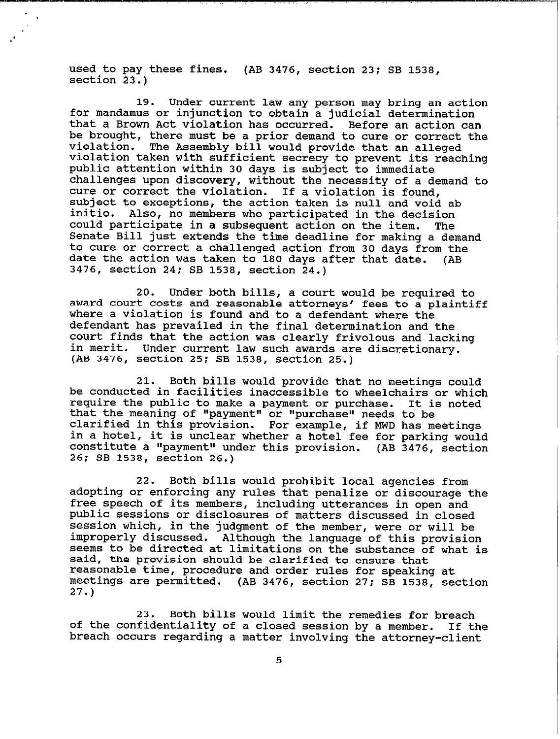**used to pay these fines. (AB 3476, section 23; SB 1538, section 23.)** 

**19. Under current law any person may bring an action for mandamus or injunction to obtain a judicial determination that a Brown Act violation has occurred. Before an action can be brought, there must be a prior demand to cure or correct the violation. The Assembly bill would provide that an alleged violation taken with sufficient secrecy to prevent its reaching public attention within 30 days is subject to immediate challenges upon discovery, without the necessity of a demand to cure or correct the violation. If a violation is found, subject to exceptions, the action taken is null and void ab**  Also, no members who participated in the decision<br>rticipate in a subsequent action on the item. The **could participate in a subsequent action on the item. The Senate Bill just extends the time deadline for making a demand to cure or correct a challenged action from 30 days from the date the action was taken to 180 days after that date. (AB 3476, section 24; SB 1538, section 24.)** 

**20. Under both bills, a court would be required to award court costs and reasonable attorneys' fees to a plaintiff where a violation is found and to a defendant where the defendant has prevailed in the final determination and the court finds that the action was clearly frivolous and lacking**  Under current law such awards are discretionary. **(AB 3476, section 25; SB 1538, section 25.)** 

**21. Both bills would provide that no meetings could be conducted in facilities inaccessible to wheelchairs or which require the public to make a payment or purchase. It is noted that the meaning of "payment" or "purchase" needs to be clarified in this provision. For example, if MWD has meetings in a hotel, it is unclear whether a hotel fee for parking would**  constitute a "payment" under this provision. (AB 3476, section **26; SB 1538, section 26.)** 

**22. Both bills would prohibit local agencies from adopting or enforcing any rules that penalize or discourage the free speech of its members, including utterances in open and public sessions or disclosures of matters discussed in closed session which, in the judgment of the member, were or will be improperly discussed. Although the language of this provision seems to be directed at limitations on the substance of what is said, the provision should be clarified to ensure that reasonable time, procedure and order rules for speaking at meetings are permitted. (AB 3476, section 27; SB 1538, section 27.)** 

**23. Both bills would limit the remedies for breach**  of the confidentiality of a closed session by a member. **breach occurs regarding a matter involving the attorney-client**